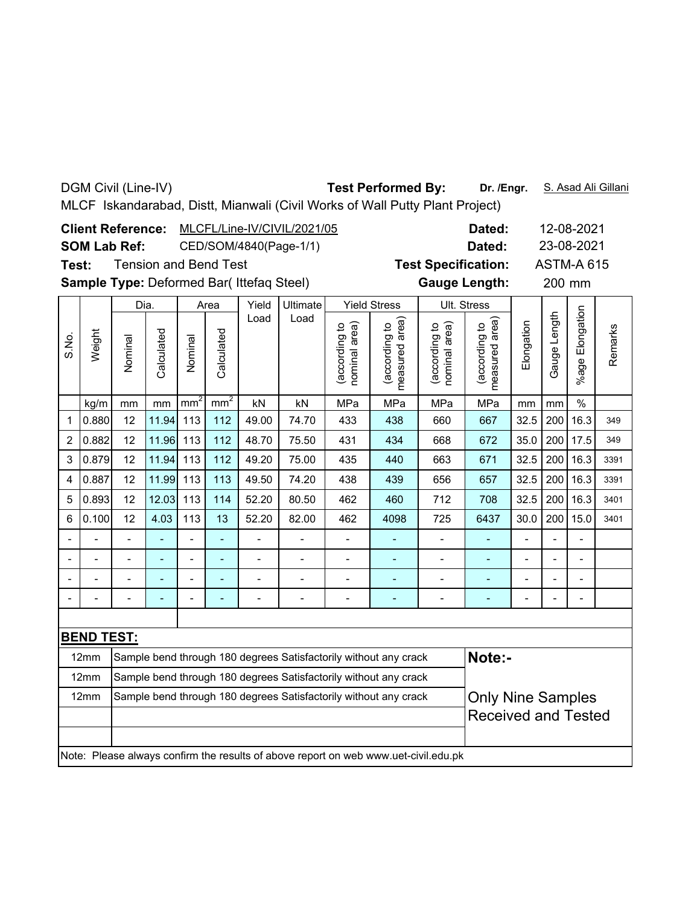DGM Civil (Line-IV)

## Test Performed By: Dr. /Engr. S. Asad Ali Gillani

MLCF Iskandarabad, Distt, Mianwali (Civil Works of Wall Putty Plant Project)

|       |                                                                          | <b>Client Reference:</b><br><b>SOM Lab Ref:</b> |            |                |                                                                                     |                                           | MLCFL/Line-IV/CIVIL/2021/05<br>CED/SOM/4840(Page-1/1)            |                                |                                 |                                | Dated:<br>Dated:                | 12-08-2021<br>23-08-2021 |                |                      |         |
|-------|--------------------------------------------------------------------------|-------------------------------------------------|------------|----------------|-------------------------------------------------------------------------------------|-------------------------------------------|------------------------------------------------------------------|--------------------------------|---------------------------------|--------------------------------|---------------------------------|--------------------------|----------------|----------------------|---------|
| Test: |                                                                          |                                                 |            |                | <b>Tension and Bend Test</b>                                                        |                                           |                                                                  |                                |                                 | <b>Test Specification:</b>     |                                 |                          |                | <b>ASTM-A 615</b>    |         |
|       |                                                                          |                                                 |            |                |                                                                                     | Sample Type: Deformed Bar( Ittefaq Steel) |                                                                  |                                |                                 | <b>Gauge Length:</b>           |                                 |                          | 200 mm         |                      |         |
|       |                                                                          | Dia.                                            |            |                | Area                                                                                | Yield<br>Load                             | Ultimate<br>Load                                                 |                                | <b>Yield Stress</b>             | Ult. Stress                    |                                 |                          |                |                      |         |
| S.No. | Weight                                                                   | Nominal                                         | Calculated | Nominal        | Calculated<br>mm <sup>2</sup>                                                       |                                           |                                                                  | (according to<br>nominal area) | measured area)<br>(according to | nominal area)<br>(according to | measured area)<br>(according to | Elongation               | Gauge Length   | Elongation<br>%age I | Remarks |
|       | kg/m                                                                     | mm                                              | mm         | $mm^2$         | MPa                                                                                 | MPa                                       | mm                                                               | mm                             | $\frac{1}{2}$                   |                                |                                 |                          |                |                      |         |
| 1     | 0.880                                                                    | 12                                              | 11.94      | 113            | 112                                                                                 | 49.00                                     | 660                                                              | 667                            | 32.5                            | 200                            | 16.3                            | 349                      |                |                      |         |
| 2     | 0.882                                                                    | 12                                              | 11.96      | 113            | 112                                                                                 | 668                                       | 672                                                              | 35.0                           | 200                             | 17.5                           | 349                             |                          |                |                      |         |
| 3     | 0.879                                                                    | 12                                              | 11.94      | 113            | 112                                                                                 | 49.20                                     | 663                                                              | 671                            | 32.5                            | 200                            | 16.3                            | 3391                     |                |                      |         |
| 4     | 0.887                                                                    | 12                                              | 11.99      | 113            | 113                                                                                 | 49.50                                     | 74.20                                                            | 438                            | 439                             | 656                            | 657                             | 32.5                     | 200            | 16.3                 | 3391    |
| 5     | 0.893                                                                    | 12                                              | 12.03      | 113            | 114                                                                                 | 52.20                                     | 80.50                                                            | 462                            | 460                             | 712                            | 708                             | 32.5                     | 200            | 16.3                 | 3401    |
| 6     | 0.100                                                                    | 12                                              | 4.03       | 113            | 13                                                                                  | 52.20                                     | 82.00                                                            | 462                            | 4098                            | 725                            | 6437                            | 30.0                     | 200            | 15.0                 | 3401    |
|       |                                                                          | $\frac{1}{2}$                                   | ä,         | $\frac{1}{2}$  | ä,                                                                                  | $\frac{1}{2}$                             | -                                                                | $\overline{\phantom{a}}$       | ÷,                              | $\overline{a}$                 | $\blacksquare$                  | $\overline{\phantom{a}}$ | $\overline{a}$ | $\frac{1}{2}$        |         |
|       |                                                                          | $\overline{a}$                                  | ÷,         | $\blacksquare$ | L,                                                                                  | $\blacksquare$                            |                                                                  |                                |                                 | $\overline{\phantom{0}}$       | ÷,                              | $\blacksquare$           |                | $\overline{a}$       |         |
|       |                                                                          |                                                 |            | $\overline{a}$ | $\overline{a}$                                                                      | $\overline{a}$                            |                                                                  | Ĭ.                             | L,                              | $\overline{a}$                 | L,                              |                          |                | L                    |         |
|       |                                                                          |                                                 |            | $\overline{a}$ |                                                                                     | $\overline{a}$                            |                                                                  | $\overline{a}$                 |                                 | $\overline{a}$                 |                                 |                          |                | $\overline{a}$       |         |
|       |                                                                          |                                                 |            |                |                                                                                     |                                           |                                                                  |                                |                                 |                                |                                 |                          |                |                      |         |
|       | <b>BEND TEST:</b>                                                        |                                                 |            |                |                                                                                     |                                           |                                                                  |                                |                                 |                                |                                 |                          |                |                      |         |
|       | 12mm                                                                     |                                                 |            |                |                                                                                     |                                           | Sample bend through 180 degrees Satisfactorily without any crack |                                |                                 |                                | Note:-                          |                          |                |                      |         |
|       | Sample bend through 180 degrees Satisfactorily without any crack<br>12mm |                                                 |            |                |                                                                                     |                                           |                                                                  |                                |                                 |                                |                                 |                          |                |                      |         |
|       | Sample bend through 180 degrees Satisfactorily without any crack<br>12mm |                                                 |            |                |                                                                                     |                                           |                                                                  |                                |                                 |                                | <b>Only Nine Samples</b>        |                          |                |                      |         |
|       |                                                                          |                                                 |            |                |                                                                                     |                                           |                                                                  |                                |                                 |                                | <b>Received and Tested</b>      |                          |                |                      |         |
|       |                                                                          |                                                 |            |                | Note: Please always confirm the results of above report on web www.uet-civil.edu.pk |                                           |                                                                  |                                |                                 |                                |                                 |                          |                |                      |         |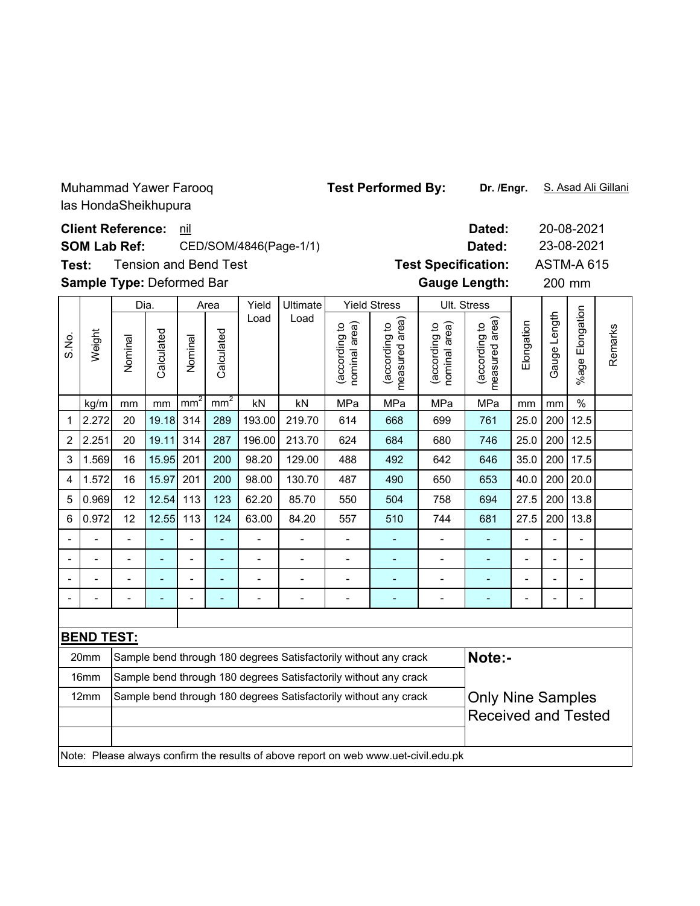Muhammad Yawer Farooq las HondaSheikhupura

**Dated:** 20-08-2021 **Client Reference:** nil 23-08-2021 **SOM Lab Ref:** CED/SOM/4846(Page-1/1) **Dated: Test Specification:** ASTM-A 615 Tension and Bend Test **Test: Sample Type:** Deformed Bar **manufature Cauge Length:** 200 mm 200 mm Dia. Yield Ultimate Yield StressUlt. Stress Area %age Elongation %age Elongatior Load Load (according to<br>measured area) (according to<br>measured area) Gauge Length Gauge Length (according to<br>nominal area) measured area) (according to<br>nominal area) measured area) **Elongation** (according to (according to (according to (according to nominal area) nominal area) Remarks Remarks Weight Calculated Calculated S.No. Calculated Calculated Nominal Nominal kg/m | mm | mm | mm² | nm² | kN | kN | MPa | MPa | MPa | MPa | mm | mm | % 1 2.272 20 19.18 314 289 193.00 219.70 614 668 699 761 25.0 200 12.5 2 2.251 20 19.11 314 287 196.00 213.70 624 684 680 746 25.0 200 12.5 3 |1.569| 16 |15.95| 201 | 200 | 98.20 | 129.00 | 488 | 492 | 642 | 646 | 35.0 | 200 | 17.5 4 |1.572| 16 |15.97| 201 | 200 | 98.00 | 130.70 | 487 | 490 | 650 | 653 | 40.0 | 200 | 20.0 5 0.969| 12 |12.54| 113 | 123 | 62.20 | 85.70 | 550 | 504 | 758 | 694 | 27.5 | 200 | 13.8 6 |0.972| 12 |12.55| 113 | 124 | 63.00 | 84.20 | 557 | 510 | 744 | 681 | 27.5 | 200 | 13.8 -- - - - - - - - - - - - -- -- - - - - - - - - - - - -- -- - - - - - - - - - - - -- -- - - - - - - - - - - - -- **BEND TEST:** 20mm  $\, \, \vert$ Sample bend through 180 degrees Satisfactorily without any crack  $\, \vert$  Note:-16mm Sample bend through 180 degrees Satisfactorily without any crack 12mm Sample bend through 180 degrees Satisfactorily without any crack **Only Nine Samples** Received and Tested

Note: Please always confirm the results of above report on web www.uet-civil.edu.pk

Test Performed By: Dr. /Engr. S. Asad Ali Gillani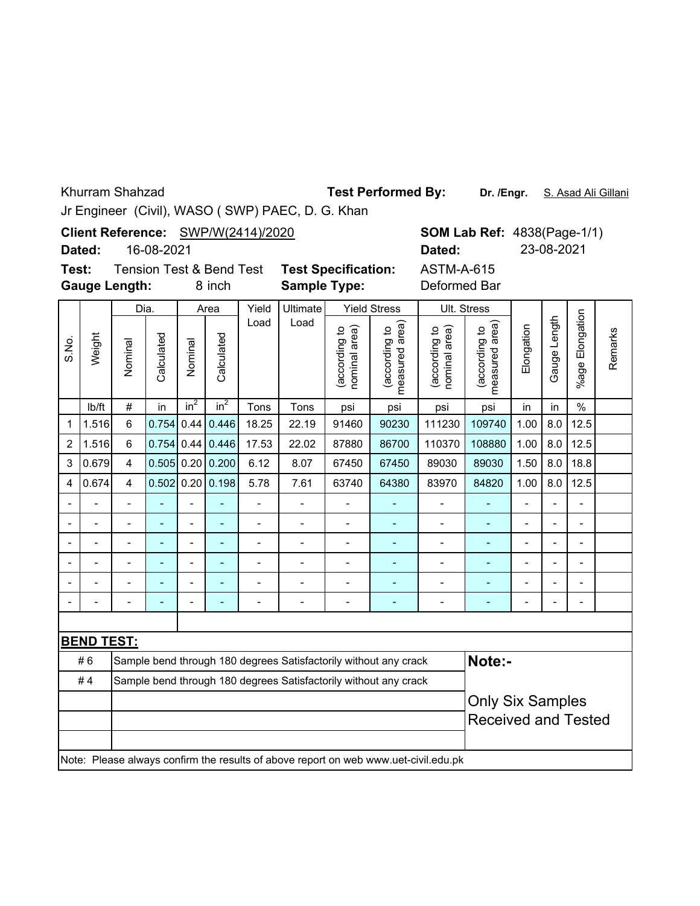Khurram Shahzad

**Test Performed By:**

Dr. /Engr. S. Asad Ali Gillani

Jr Engineer (Civil), WASO ( SWP) PAEC, D. G. Khan

**Client Reference:** SWP/W(2414)/2020

16-08-2021 **Dated:**

**Test:** Tension Test & Bend Test **Test Specification: Gauge Length:**

8 inch **Sample Type:** Deformed Bar

ASTM-A-615 **Dated:** 23-08-2021

**SOM Lab Ref: 4838(Page-1/1)** 

|                |                   | Dia.           |                          |                          | Area           | Yield          | Ultimate       |                               | <b>Yield Stress</b>                                                                 |                                | Ult. Stress                        |                          |                |                 |         |
|----------------|-------------------|----------------|--------------------------|--------------------------|----------------|----------------|----------------|-------------------------------|-------------------------------------------------------------------------------------|--------------------------------|------------------------------------|--------------------------|----------------|-----------------|---------|
| S.No.          | Weight            | Nominal        | Calculated               | Nominal                  | Calculated     | Load           | Load           | according to<br>nominal area) | measured area<br>according to                                                       | (according to<br>nominal area) | area)<br>(according to<br>measured | Elongation               | Gauge Length   | %age Elongation | Remarks |
|                | lb/ft             | $\#$           | in                       | $in^2$                   | $in^2$         | Tons           | Tons           | psi                           | psi                                                                                 | psi                            | psi                                | in                       | in             | $\%$            |         |
| 1              | 1.516             | 6              | 0.754                    | 0.44                     | 0.446          | 18.25          | 22.19          | 91460                         | 90230                                                                               | 111230                         | 109740                             | 1.00                     | 8.0            | 12.5            |         |
| $\overline{2}$ | 1.516             | 6              | 0.754                    | 0.44                     | 0.446          | 17.53          | 22.02          | 87880                         | 86700                                                                               | 110370                         | 108880                             | 1.00                     | 8.0            | 12.5            |         |
| 3              | 0.679             | 4              | $0.505$ 0.20             |                          | 0.200          | 6.12           | 8.07           | 67450                         | 67450                                                                               | 89030                          | 89030                              | 1.50                     | 8.0            | 18.8            |         |
| 4              | 0.674             | $\overline{4}$ | 0.502                    |                          | 0.20   0.198   | 5.78           | 7.61           | 63740                         | 64380                                                                               | 83970                          | 84820                              | 1.00                     | 8.0            | 12.5            |         |
|                |                   |                |                          |                          |                |                |                |                               |                                                                                     |                                |                                    |                          |                |                 |         |
|                |                   |                |                          |                          |                | L,             |                |                               |                                                                                     |                                |                                    |                          |                |                 |         |
| $\blacksquare$ | $\blacksquare$    | $\blacksquare$ | ٠                        | $\overline{\phantom{a}}$ | $\blacksquare$ | $\blacksquare$ |                |                               |                                                                                     |                                |                                    | -                        | $\blacksquare$ | $\blacksquare$  |         |
|                |                   |                | $\overline{\phantom{a}}$ | $\overline{\phantom{0}}$ | ÷              | $\blacksquare$ |                | $\overline{a}$                |                                                                                     |                                |                                    | -                        | $\blacksquare$ | $\blacksquare$  |         |
|                | $\blacksquare$    | $\overline{a}$ | $\overline{\phantom{a}}$ | $\overline{\phantom{0}}$ | ÷,             | $\overline{a}$ | $\overline{a}$ | ÷                             |                                                                                     | $\overline{a}$                 |                                    | $\overline{\phantom{0}}$ | ÷              | $\blacksquare$  |         |
|                |                   | $\overline{a}$ | $\overline{a}$           | $\overline{\phantom{0}}$ | $\blacksquare$ | $\blacksquare$ | $\overline{a}$ | Ĭ.                            | $\blacksquare$                                                                      |                                | ÷,                                 | $\overline{\phantom{0}}$ | L,             | $\blacksquare$  |         |
|                |                   |                |                          |                          |                |                |                |                               |                                                                                     |                                |                                    |                          |                |                 |         |
|                | <b>BEND TEST:</b> |                |                          |                          |                |                |                |                               |                                                                                     |                                |                                    |                          |                |                 |         |
|                | #6                |                |                          |                          |                |                |                |                               | Sample bend through 180 degrees Satisfactorily without any crack                    |                                | Note:-                             |                          |                |                 |         |
|                | #4                |                |                          |                          |                |                |                |                               | Sample bend through 180 degrees Satisfactorily without any crack                    |                                |                                    |                          |                |                 |         |
|                |                   |                |                          |                          |                |                |                | <b>Only Six Samples</b>       |                                                                                     |                                |                                    |                          |                |                 |         |
|                |                   |                |                          |                          |                |                |                |                               |                                                                                     |                                | <b>Received and Tested</b>         |                          |                |                 |         |
|                |                   |                |                          |                          |                |                |                |                               |                                                                                     |                                |                                    |                          |                |                 |         |
|                |                   |                |                          |                          |                |                |                |                               | Note: Please always confirm the results of above report on web www.uet-civil.edu.pk |                                |                                    |                          |                |                 |         |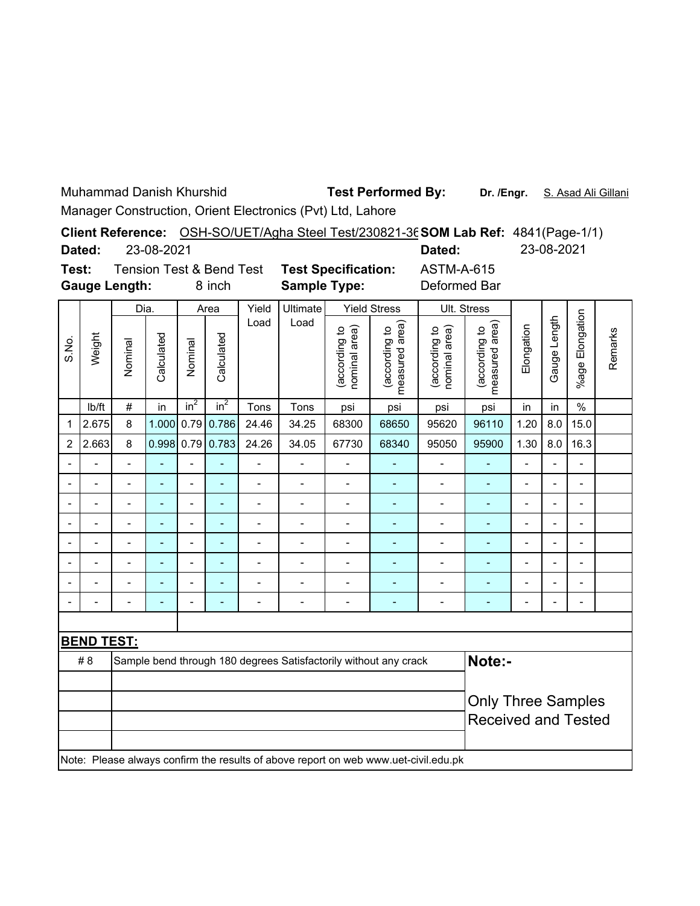Muhammad Danish Khurshid

**Test Performed By:**

**Dr. /Engr.** S. Asad Ali Gillani

Manager Construction, Orient Electronics (Pvt) Ltd, Lahore

|        |            |                                     | Client Reference: OSH-SO/UET/Agha Steel Test/230821-36 SOM Lab Ref: 4841(Page-1/1) |            |            |
|--------|------------|-------------------------------------|------------------------------------------------------------------------------------|------------|------------|
| Dated: | 23-08-2021 |                                     |                                                                                    | Dated:     | 23-08-2021 |
| Test:  |            | <b>Tension Test &amp; Bend Test</b> | <b>Test Specification:</b>                                                         | ASTM-A-615 |            |

**Gauge Length:**

8 inch **Sample Type:** Deformed Bar

|                |                          | Dia.                     |                | Area           |                | Yield          | <b>Yield Stress</b><br>Ultimate |                               | Ult. Stress                                                                         |                                |                                 |                |                          |                          |         |
|----------------|--------------------------|--------------------------|----------------|----------------|----------------|----------------|---------------------------------|-------------------------------|-------------------------------------------------------------------------------------|--------------------------------|---------------------------------|----------------|--------------------------|--------------------------|---------|
| S.No.          | Weight                   | Nominal                  | Calculated     | Nominal        | Calculated     | Load           | Load                            | according to<br>nominal area) | measured area)<br>according to                                                      | (according to<br>nominal area) | measured area)<br>(according to | Elongation     | Gauge Length             | %age Elongation          | Remarks |
|                | lb/ft                    | $\#$                     | in             | $in^2$         | $in^2$         | Tons           | Tons                            | psi                           | psi                                                                                 | psi                            | psi                             | in             | in                       | $\frac{0}{0}$            |         |
| 1              | 2.675                    | 8                        | 1.000          | 0.79           | 0.786          | 24.46          | 34.25                           | 68300                         | 68650                                                                               | 95620                          | 96110                           | 1.20           | 8.0                      | 15.0                     |         |
| $\overline{2}$ | 2.663                    | 8                        | 0.998          | 0.79           | 0.783          | 24.26          | 34.05                           | 67730                         | 68340                                                                               | 95050                          | 95900                           | 1.30           | 8.0                      | 16.3                     |         |
|                |                          | $\blacksquare$           | L,             | $\blacksquare$ | $\blacksquare$ | $\overline{a}$ | L,                              | $\overline{a}$                |                                                                                     | $\overline{a}$                 | ٠                               | $\blacksquare$ | $\overline{a}$           | $\overline{\phantom{0}}$ |         |
|                | $\blacksquare$           | $\overline{\phantom{0}}$ | ۰              | $\blacksquare$ | $\blacksquare$ | $\overline{a}$ | $\blacksquare$                  | $\overline{a}$                | $\blacksquare$                                                                      | $\blacksquare$                 | ٠                               | $\blacksquare$ | $\overline{a}$           | $\overline{a}$           |         |
|                |                          | $\overline{a}$           | ÷              | $\blacksquare$ | ۰              | $\blacksquare$ | ٠                               | $\blacksquare$                | ٠                                                                                   | $\overline{\phantom{0}}$       | $\overline{\phantom{a}}$        | $\overline{a}$ | $\overline{\phantom{a}}$ | -                        |         |
|                |                          | $\blacksquare$           | $\overline{a}$ | ۰              | ٠              | $\overline{a}$ |                                 |                               | ۳                                                                                   | $\blacksquare$                 | ۰                               | $\blacksquare$ |                          | ۰                        |         |
|                |                          |                          |                |                |                |                |                                 |                               |                                                                                     |                                |                                 |                |                          |                          |         |
|                |                          |                          | -              | $\blacksquare$ | ٠              |                |                                 | $\overline{\phantom{a}}$      |                                                                                     |                                | ۰                               | $\blacksquare$ | $\blacksquare$           | ۰                        |         |
|                |                          |                          | ۳              | $\blacksquare$ |                |                |                                 |                               |                                                                                     |                                |                                 | $\blacksquare$ | $\overline{\phantom{a}}$ | $\blacksquare$           |         |
|                | $\overline{\phantom{0}}$ | $\blacksquare$           | -              | $\blacksquare$ | $\blacksquare$ | $\blacksquare$ | $\blacksquare$                  | $\blacksquare$                | $\blacksquare$                                                                      | $\qquad \qquad \blacksquare$   | $\overline{\phantom{a}}$        | ۰              | $\overline{\phantom{a}}$ | $\overline{\phantom{0}}$ |         |
|                |                          |                          |                |                |                |                |                                 |                               |                                                                                     |                                |                                 |                |                          |                          |         |
|                | <b>BEND TEST:</b>        |                          |                |                |                |                |                                 |                               |                                                                                     |                                |                                 |                |                          |                          |         |
|                | #8                       |                          |                |                |                |                |                                 |                               | Sample bend through 180 degrees Satisfactorily without any crack                    |                                | Note:-                          |                |                          |                          |         |
|                |                          |                          |                |                |                |                |                                 |                               |                                                                                     |                                |                                 |                |                          |                          |         |
|                |                          |                          |                |                |                |                |                                 | <b>Only Three Samples</b>     |                                                                                     |                                |                                 |                |                          |                          |         |
|                |                          |                          |                |                |                |                |                                 |                               |                                                                                     |                                | <b>Received and Tested</b>      |                |                          |                          |         |
|                |                          |                          |                |                |                |                |                                 |                               |                                                                                     |                                |                                 |                |                          |                          |         |
|                |                          |                          |                |                |                |                |                                 |                               | Note: Please always confirm the results of above report on web www.uet-civil.edu.pk |                                |                                 |                |                          |                          |         |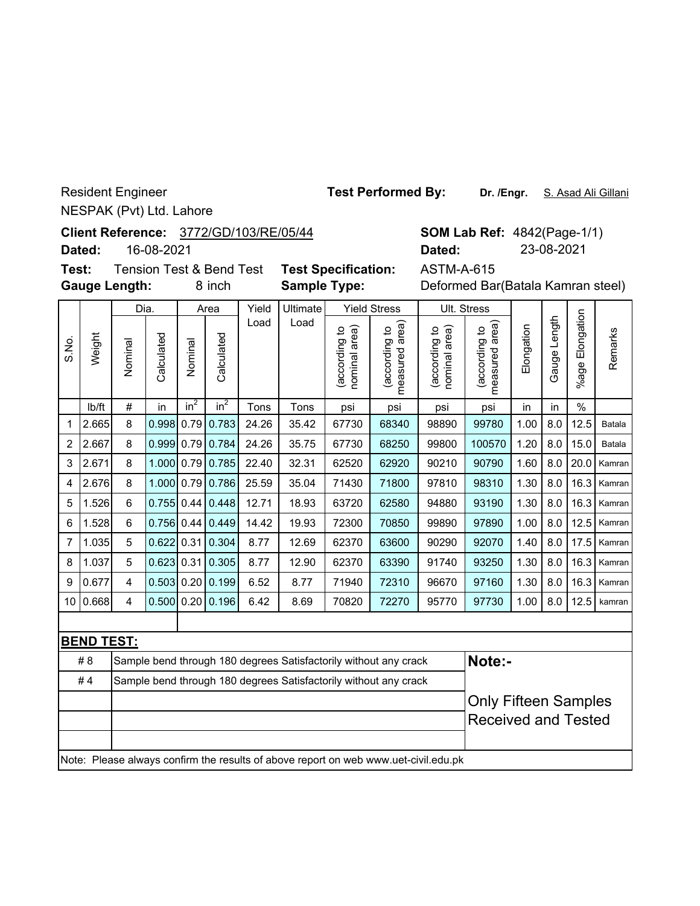Resident Engineer NESPAK (Pvt) Ltd. Lahore

**Client Reference:** 3772/GD/103/RE/05/44

16-08-2021 **Dated:**

Dia.

**Test:** Tension Test & Bend Test **Test Specification: Gauge Length:**

Area

Yield Stress

Yield Ultimate

ASTM-A-615

Ult. Stress

| 8 inch<br><b>Sample Type:</b> | Deformed Bar(Batala Kamran steel) |
|-------------------------------|-----------------------------------|
|-------------------------------|-----------------------------------|

**SOM Lab Ref: 4842(Page-1/1)** 

**Dated:** 23-08-2021

|                 |                   | υıα.    |            |         | <u>riva</u>        | ,,,,, | ommalv |                                     |                                                 |                                  | ບແ. ບແບວວ                            |            |                 |                       |         |
|-----------------|-------------------|---------|------------|---------|--------------------|-------|--------|-------------------------------------|-------------------------------------------------|----------------------------------|--------------------------------------|------------|-----------------|-----------------------|---------|
| S.No.           | Weight            | Nominal | Calculated | Nominal | Calculated         | Load  | Load   | area)<br>٩<br>(according<br>nominal | according to<br>cording to<br>areal<br>measured | nominal area)<br>유<br>(according | area)<br>đ<br>(according<br>measured | Elongation | Length<br>Gauge | Elongation<br>$%$ age | Remarks |
|                 | lb/ft             | #       | in         | $in^2$  | $in^2$             | Tons  | Tons   | psi                                 | psi                                             | psi                              | psi                                  | in         | in              | $\%$                  |         |
| 1               | 2.665             | 8       | 0.998      |         | $0.79$ 0.783       | 24.26 | 35.42  | 67730                               | 68340                                           | 98890                            | 99780                                | 1.00       | 8.0             | 12.5                  | Batala  |
| $\overline{2}$  | 2.667             | 8       | 0.999      |         | $0.79$ 0.784       | 24.26 | 35.75  | 67730                               | 68250                                           | 99800                            | 100570                               | 1.20       | 8.0             | 15.0                  | Batala  |
| 3               | 2.671             | 8       | 1.000      | 0.79    | 0.785              | 22.40 | 32.31  | 62520                               | 62920                                           | 90210                            | 90790                                | 1.60       | 8.0             | 20.0                  | Kamran  |
| 4               | 2.676             | 8       | 1.000      | 0.79    | 0.786              | 25.59 | 35.04  | 71430                               | 71800                                           | 97810                            | 98310                                | 1.30       | 8.0             | 16.3                  | Kamran  |
| 5               | 1.526             | 6       | 0.755      | 0.44    | 0.448              | 12.71 | 18.93  | 63720                               | 62580                                           | 94880                            | 93190                                | 1.30       | 8.0             | 16.3                  | Kamran  |
| 6               | 1.528             | 6       | 0.756      | 0.44    | 0.449              | 14.42 | 19.93  | 72300                               | 70850                                           | 99890                            | 97890                                | 1.00       | 8.0             | 12.5                  | Kamran  |
| $\overline{7}$  | 1.035             | 5       | 0.622      | 0.31    | 0.304              | 8.77  | 12.69  | 62370                               | 63600                                           | 90290                            | 92070                                | 1.40       | 8.0             | 17.5                  | Kamran  |
| 8               | 1.037             | 5       | 0.623      | 0.31    | 0.305              | 8.77  | 12.90  | 62370                               | 63390                                           | 91740                            | 93250                                | 1.30       | 8.0             | 16.3                  | Kamran  |
| 9               | 0.677             | 4       | 0.503      |         | 0.20   0.199       | 6.52  | 8.77   | 71940                               | 72310                                           | 96670                            | 97160                                | 1.30       | 8.0             | 16.3                  | Kamran  |
| 10 <sup>°</sup> | 0.668             | 4       |            |         | $0.500$ 0.20 0.196 | 6.42  | 8.69   | 70820                               | 72270                                           | 95770                            | 97730                                | 1.00       | 8.0             | 12.5                  | kamran  |
|                 |                   |         |            |         |                    |       |        |                                     |                                                 |                                  |                                      |            |                 |                       |         |
|                 | <b>BEND TEST:</b> |         |            |         |                    |       |        |                                     |                                                 |                                  |                                      |            |                 |                       |         |

| #8 | Sample bend through 180 degrees Satisfactorily without any crack                    | <b>Note:-</b>               |  |  |  |  |  |  |  |  |  |
|----|-------------------------------------------------------------------------------------|-----------------------------|--|--|--|--|--|--|--|--|--|
| #4 | Sample bend through 180 degrees Satisfactorily without any crack                    |                             |  |  |  |  |  |  |  |  |  |
|    |                                                                                     | <b>Only Fifteen Samples</b> |  |  |  |  |  |  |  |  |  |
|    |                                                                                     | <b>Received and Tested</b>  |  |  |  |  |  |  |  |  |  |
|    |                                                                                     |                             |  |  |  |  |  |  |  |  |  |
|    | Note: Please always confirm the results of above report on web www.uet-civil.edu.pk |                             |  |  |  |  |  |  |  |  |  |

**Test Performed By:**

Dr. /Engr. S. Asad Ali Gillani

 $\vert$  s  $\vert$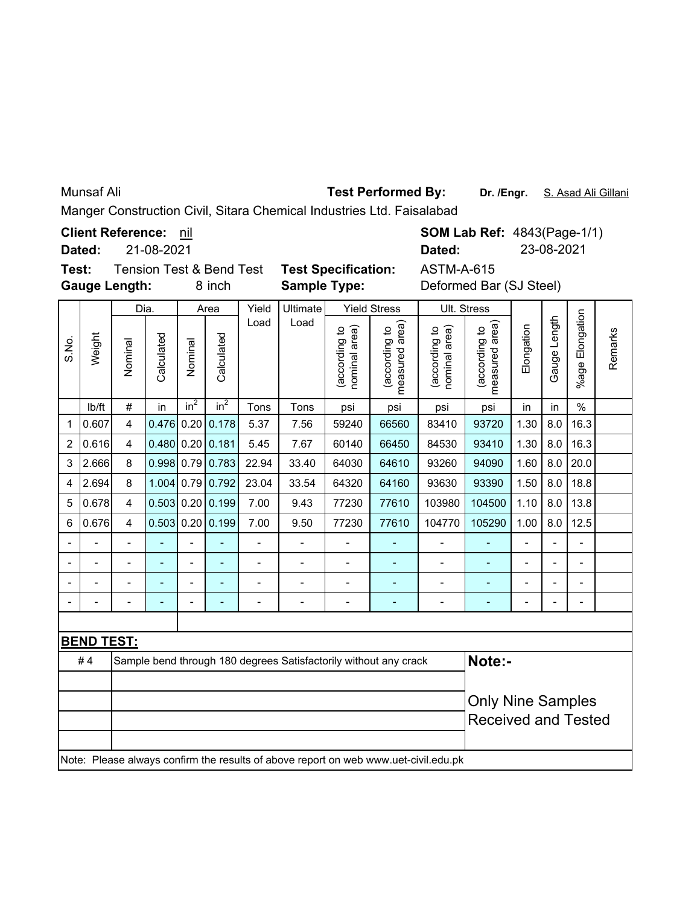Munsaf Ali

## **Test Performed By:**

**Dr. /Engr.** S. Asad Ali Gillani

 $\overline{\phantom{0}}$ 

Manger Construction Civil, Sitara Chemical Industries Ltd. Faisalabad

**Client Reference:** nil

**Dated:** 21-08-2021

**SOM Lab Ref: 4843(Page-1/1) Dated:** 23-08-2021

**Gauge Length: Test:** Tension Test & Bend Test **Test Specification:** ASTM-A-615

**Sample Type:**

8 inch **Sample Type:** Deformed Bar (SJ Steel)

|                |                          | Dia.                    |              |                 | Area             | Yield          | Ultimate                 |                                | <b>Yield Stress</b>                                                                 |                                | Ult. Stress                     |                |                |                          |         |
|----------------|--------------------------|-------------------------|--------------|-----------------|------------------|----------------|--------------------------|--------------------------------|-------------------------------------------------------------------------------------|--------------------------------|---------------------------------|----------------|----------------|--------------------------|---------|
| S.No.          | Weight                   | Nominal                 | Calculated   | Nominal         | Calculated       | Load           | Load                     | nominal area)<br>(according to | measured area)<br>(according to                                                     | nominal area)<br>(according to | measured area)<br>(according to | Elongation     | Gauge Length   | %age Elongation          | Remarks |
|                | lb/ft                    | $\#$                    | in           | in <sup>2</sup> | in <sup>2</sup>  | Tons           | Tons                     | psi                            | psi                                                                                 | psi                            | psi                             | in             | in             | $\frac{0}{0}$            |         |
| 1              | 0.607                    | $\overline{4}$          | 0.476        | 0.20            | 0.178            | 5.37           | 7.56                     | 59240                          | 66560                                                                               | 83410                          | 93720                           | 1.30           | 8.0            | 16.3                     |         |
| $\overline{c}$ | 0.616                    | $\overline{\mathbf{4}}$ | $0.480$ 0.20 |                 | 0.181            | 5.45           | 7.67                     | 60140                          | 66450                                                                               | 84530                          | 93410                           | 1.30           | 8.0            | 16.3                     |         |
| 3              | 2.666                    | 8                       |              |                 | 0.998 0.79 0.783 | 22.94          | 33.40                    | 64030                          | 64610                                                                               | 93260                          | 94090                           | 1.60           | 8.0            | 20.0                     |         |
| 4              | 2.694                    | 8                       | 1.004 0.79   |                 | 0.792            | 23.04          | 33.54                    | 64320                          | 64160                                                                               | 93630                          | 93390                           | 1.50           | 8.0            | 18.8                     |         |
| 5              | 0.678                    | 4                       | $0.503$ 0.20 |                 | 0.199            | 7.00           | 9.43                     | 77230                          | 77610                                                                               | 103980                         | 104500                          | 1.10           | 8.0            | 13.8                     |         |
| 6              | 0.676                    | $\overline{4}$          | 0.503        | 0.20            | 0.199            | 7.00           | 9.50                     | 77230                          | 77610                                                                               | 104770                         | 105290                          | 1.00           | 8.0            | 12.5                     |         |
|                |                          | $\overline{a}$          |              | L,              |                  | $\overline{a}$ | $\blacksquare$           |                                |                                                                                     | $\overline{a}$                 |                                 | $\blacksquare$ | $\overline{a}$ | L,                       |         |
|                | $\overline{\phantom{a}}$ | $\overline{a}$          | ÷            | $\blacksquare$  | $\blacksquare$   | $\overline{a}$ | $\blacksquare$           | $\overline{a}$                 | $\blacksquare$                                                                      | $\overline{\phantom{a}}$       | $\blacksquare$                  | $\blacksquare$ | $\overline{a}$ | $\overline{\phantom{0}}$ |         |
|                | $\overline{a}$           | $\overline{a}$          | L,           | $\blacksquare$  | ÷,               | $\overline{a}$ | ÷,                       | $\overline{a}$                 | ÷                                                                                   | $\overline{a}$                 | ٠                               | $\overline{a}$ | $\overline{a}$ | L,                       |         |
|                | $\overline{a}$           | $\overline{a}$          | -            | $\blacksquare$  | $\blacksquare$   | $\blacksquare$ | $\overline{\phantom{a}}$ | $\overline{a}$                 | $\overline{\phantom{a}}$                                                            | $\qquad \qquad \blacksquare$   | ٠                               | $\blacksquare$ | $\blacksquare$ | $\overline{\phantom{0}}$ |         |
|                |                          |                         |              |                 |                  |                |                          |                                |                                                                                     |                                |                                 |                |                |                          |         |
|                | <b>BEND TEST:</b>        |                         |              |                 |                  |                |                          |                                |                                                                                     |                                |                                 |                |                |                          |         |
|                | #4                       |                         |              |                 |                  |                |                          |                                | Sample bend through 180 degrees Satisfactorily without any crack                    |                                | Note:-                          |                |                |                          |         |
|                |                          |                         |              |                 |                  |                |                          |                                |                                                                                     |                                |                                 |                |                |                          |         |
|                |                          |                         |              |                 |                  |                |                          | <b>Only Nine Samples</b>       |                                                                                     |                                |                                 |                |                |                          |         |
|                |                          |                         |              |                 |                  |                |                          |                                |                                                                                     |                                | <b>Received and Tested</b>      |                |                |                          |         |
|                |                          |                         |              |                 |                  |                |                          |                                |                                                                                     |                                |                                 |                |                |                          |         |
|                |                          |                         |              |                 |                  |                |                          |                                | Note: Please always confirm the results of above report on web www.uet-civil.edu.pk |                                |                                 |                |                |                          |         |
|                |                          |                         |              |                 |                  |                |                          |                                |                                                                                     |                                |                                 |                |                |                          |         |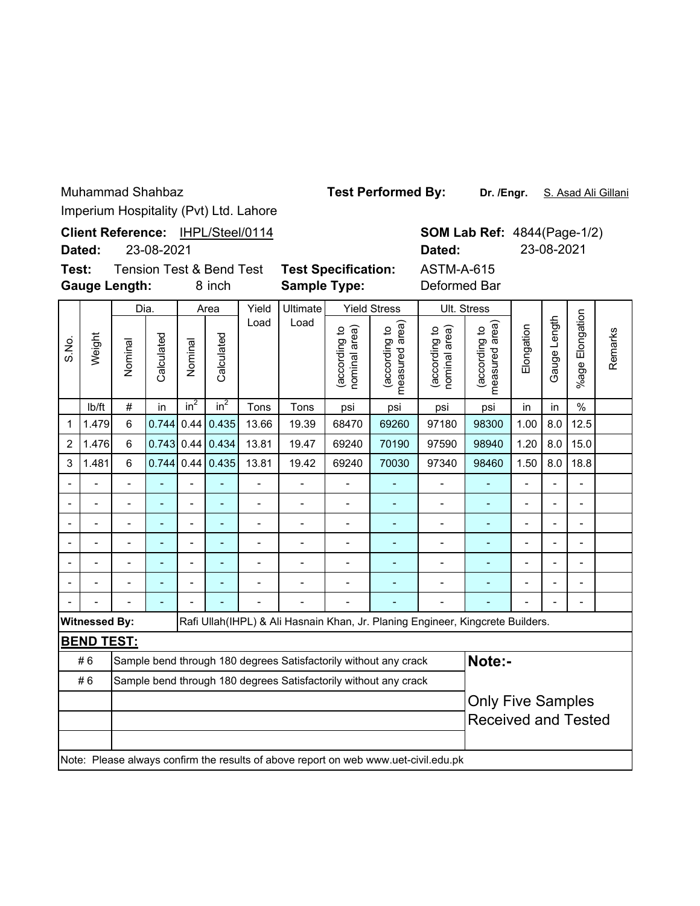**Dr. /Engr.** S. Asad Ali Gillani **Test Performed By:**

Imperium Hospitality (Pvt) Ltd. Lahore

|                                                                     |                      |                                                                                                                                     |            |                 |                                               | Imperium Hospitality (Pvt) Ltd. Lahore |                                                                  |                                |                                 |                                                                                     |                                 |                |                          |                                                  |         |  |  |
|---------------------------------------------------------------------|----------------------|-------------------------------------------------------------------------------------------------------------------------------------|------------|-----------------|-----------------------------------------------|----------------------------------------|------------------------------------------------------------------|--------------------------------|---------------------------------|-------------------------------------------------------------------------------------|---------------------------------|----------------|--------------------------|--------------------------------------------------|---------|--|--|
| Client Reference: IHPL/Steel/0114<br>23-08-2021<br>Dated:<br>Dated: |                      |                                                                                                                                     |            |                 |                                               |                                        |                                                                  |                                |                                 |                                                                                     |                                 |                |                          | <b>SOM Lab Ref: 4844(Page-1/2)</b><br>23-08-2021 |         |  |  |
| Test:                                                               | <b>Gauge Length:</b> |                                                                                                                                     |            |                 | <b>Tension Test &amp; Bend Test</b><br>8 inch |                                        | <b>Test Specification:</b><br><b>Sample Type:</b>                |                                |                                 | <b>ASTM-A-615</b><br>Deformed Bar                                                   |                                 |                |                          |                                                  |         |  |  |
|                                                                     |                      | Dia.                                                                                                                                |            |                 | Area                                          | Yield                                  | Ultimate                                                         |                                | <b>Yield Stress</b>             |                                                                                     | Ult. Stress                     |                |                          |                                                  |         |  |  |
| S.No.                                                               | Weight               | Nominal                                                                                                                             | Calculated | Nominal         | Calculated                                    | Load                                   | Load                                                             | (according to<br>nominal area) | (according to<br>measured area) | (according to<br>area)<br>nominal                                                   | measured area)<br>(according to | Elongation     | Gauge Length             | %age Elongation                                  | Remarks |  |  |
|                                                                     | lb/ft                | $\#$                                                                                                                                | in         | in <sup>2</sup> | $in^2$                                        | Tons                                   | Tons                                                             | psi                            | psi                             | psi                                                                                 | psi                             | in             | in                       | $\frac{0}{0}$                                    |         |  |  |
| 1                                                                   | 1.479                | 6<br>0.744<br>0.44<br>0.435<br>13.66<br>19.39<br>68470<br>69260<br>97180<br>8.0<br>12.5<br>98300<br>1.00<br>19.47<br>69240<br>70190 |            |                 |                                               |                                        |                                                                  |                                |                                 |                                                                                     |                                 |                |                          |                                                  |         |  |  |
| $\overline{c}$                                                      | 1.476                | 6                                                                                                                                   | 0.743      | 0.44            | 0.434                                         | 13.81                                  | 97590                                                            | 98940                          | 1.20                            | 8.0                                                                                 | 15.0                            |                |                          |                                                  |         |  |  |
| 3                                                                   | 1.481                | 6                                                                                                                                   | 0.744      | 0.44            | 0.435                                         | 13.81                                  | 97340                                                            | 98460                          | 1.50                            | 8.0                                                                                 | 18.8                            |                |                          |                                                  |         |  |  |
| $\overline{\phantom{a}}$                                            |                      | $\overline{a}$                                                                                                                      |            |                 |                                               | $\overline{a}$                         | $\overline{a}$                                                   | $\overline{a}$                 |                                 | $\overline{\phantom{0}}$                                                            | L,                              | $\overline{a}$ | $\overline{\phantom{0}}$ | L,                                               |         |  |  |
|                                                                     |                      |                                                                                                                                     |            |                 | $\blacksquare$                                |                                        | $\overline{a}$                                                   | $\blacksquare$                 |                                 |                                                                                     | L,                              |                |                          | $\overline{a}$                                   |         |  |  |
|                                                                     | $\blacksquare$       | $\overline{\phantom{0}}$                                                                                                            | L,         | $\blacksquare$  | $\blacksquare$                                | $\overline{\phantom{a}}$               | $\overline{a}$                                                   | $\overline{a}$                 | $\blacksquare$                  | $\frac{1}{2}$                                                                       | ÷,                              | $\overline{a}$ | L,                       | $\frac{1}{2}$                                    |         |  |  |
|                                                                     |                      | $\overline{a}$                                                                                                                      |            |                 |                                               | $\overline{a}$                         |                                                                  |                                |                                 | $\overline{a}$                                                                      |                                 | $\overline{a}$ |                          | $\blacksquare$                                   |         |  |  |
|                                                                     | $\overline{a}$       | $\overline{a}$                                                                                                                      | ÷,         | $\overline{a}$  | $\blacksquare$                                | $\overline{a}$                         | $\overline{a}$                                                   | $\qquad \qquad \blacksquare$   | ä,                              | $\overline{\phantom{0}}$                                                            | ÷,                              | $\overline{a}$ |                          | $\overline{a}$                                   |         |  |  |
|                                                                     |                      | -                                                                                                                                   |            |                 |                                               | $\overline{\phantom{0}}$               |                                                                  | Ĭ.                             | ÷,                              | $\overline{\phantom{0}}$                                                            | ÷,                              | $\blacksquare$ |                          | $\overline{a}$                                   |         |  |  |
|                                                                     |                      |                                                                                                                                     |            |                 |                                               |                                        |                                                                  |                                |                                 |                                                                                     |                                 |                |                          |                                                  |         |  |  |
|                                                                     | <b>Witnessed By:</b> |                                                                                                                                     |            |                 |                                               |                                        |                                                                  |                                |                                 | Rafi Ullah(IHPL) & Ali Hasnain Khan, Jr. Planing Engineer, Kingcrete Builders.      |                                 |                |                          |                                                  |         |  |  |
|                                                                     | <b>BEND TEST:</b>    |                                                                                                                                     |            |                 |                                               |                                        |                                                                  |                                |                                 |                                                                                     |                                 |                |                          |                                                  |         |  |  |
|                                                                     | #6                   |                                                                                                                                     |            |                 |                                               |                                        | Sample bend through 180 degrees Satisfactorily without any crack |                                |                                 |                                                                                     | Note:-                          |                |                          |                                                  |         |  |  |
|                                                                     | #6                   |                                                                                                                                     |            |                 |                                               |                                        | Sample bend through 180 degrees Satisfactorily without any crack |                                |                                 |                                                                                     |                                 |                |                          |                                                  |         |  |  |
|                                                                     |                      |                                                                                                                                     |            |                 |                                               |                                        |                                                                  |                                |                                 |                                                                                     | <b>Only Five Samples</b>        |                |                          |                                                  |         |  |  |
|                                                                     |                      |                                                                                                                                     |            |                 |                                               |                                        |                                                                  |                                |                                 | <b>Received and Tested</b>                                                          |                                 |                |                          |                                                  |         |  |  |
|                                                                     |                      |                                                                                                                                     |            |                 |                                               |                                        |                                                                  |                                |                                 | Note: Please always confirm the results of above report on web www.uet-civil.edu.pk |                                 |                |                          |                                                  |         |  |  |
|                                                                     |                      |                                                                                                                                     |            |                 |                                               |                                        |                                                                  |                                |                                 |                                                                                     |                                 |                |                          |                                                  |         |  |  |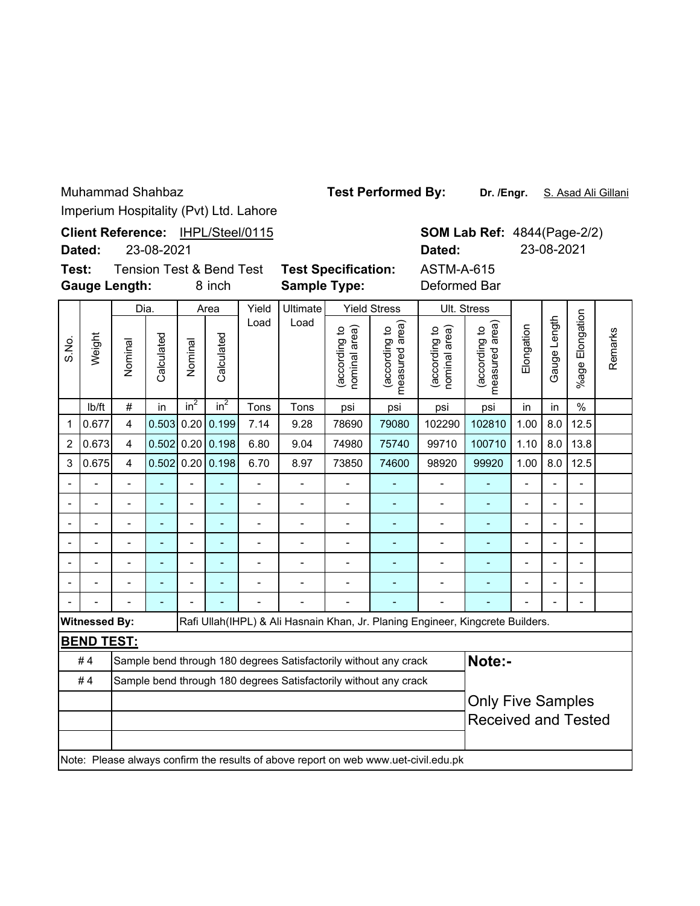**Dr. /Engr.** S. Asad Ali Gillani **Test Performed By:**

Remarks

Remarks

|                              |                                                                                     |                                                                        |            |                |                                               | Imperium Hospitality (Pvt) Ltd. Lahore |                                                                  |                                   |                                       |                                                                                |                                 |                                                  |                |                       |   |
|------------------------------|-------------------------------------------------------------------------------------|------------------------------------------------------------------------|------------|----------------|-----------------------------------------------|----------------------------------------|------------------------------------------------------------------|-----------------------------------|---------------------------------------|--------------------------------------------------------------------------------|---------------------------------|--------------------------------------------------|----------------|-----------------------|---|
|                              | Dated:                                                                              |                                                                        | 23-08-2021 |                |                                               | Client Reference: IHPL/Steel/0115      |                                                                  |                                   |                                       | Dated:                                                                         |                                 | <b>SOM Lab Ref: 4844(Page-2/2)</b><br>23-08-2021 |                |                       |   |
| Test:                        |                                                                                     | <b>Gauge Length:</b>                                                   |            |                | <b>Tension Test &amp; Bend Test</b><br>8 inch |                                        | <b>Test Specification:</b><br><b>Sample Type:</b>                |                                   |                                       | <b>ASTM-A-615</b><br>Deformed Bar                                              |                                 |                                                  |                |                       |   |
|                              |                                                                                     | Dia.                                                                   |            |                | Area                                          | Yield                                  | <b>Ultimate</b>                                                  |                                   | <b>Yield Stress</b>                   |                                                                                | Ult. Stress                     |                                                  |                |                       |   |
| S.No.                        | Weight                                                                              | Nominal                                                                | Calculated | Nominal        | Calculated<br>in <sup>2</sup>                 | Load<br>Tons                           | Load<br>Tons                                                     | (according to<br>area)<br>nominal | measured area<br>(according to<br>psi | (according to<br>nominal area)                                                 | measured area)<br>(according to | Elongation                                       | Gauge Length   | Elongation<br>$%$ age | ć |
|                              | lb/ft                                                                               | #                                                                      | in         | $in^2$         | psi                                           | psi                                    | in                                                               | in                                | $\%$                                  |                                                                                |                                 |                                                  |                |                       |   |
| 1                            | 0.677                                                                               | 4                                                                      | 0.503      | 0.20           | 0.199                                         | 102290                                 | 102810                                                           | 1.00                              | 8.0                                   | 12.5                                                                           |                                 |                                                  |                |                       |   |
| 2                            | 0.673                                                                               | 0.20<br>0.198<br>4<br>0.502<br>6.80<br>74980<br>75740<br>99710<br>9.04 |            |                |                                               |                                        |                                                                  |                                   |                                       |                                                                                |                                 | 1.10                                             | 8.0            | 13.8                  |   |
| 3                            | 0.675                                                                               | $\overline{\mathbf{4}}$                                                | 0.502      | 0.20           | 0.198                                         | 6.70                                   | 8.97                                                             | 73850                             | 74600                                 | 98920                                                                          | 99920                           | 1.00                                             | 8.0            | 12.5                  |   |
|                              |                                                                                     | $\blacksquare$                                                         |            |                | ÷,                                            | $\blacksquare$                         | $\overline{\phantom{0}}$                                         |                                   |                                       | ٠                                                                              | $\blacksquare$                  |                                                  |                |                       |   |
|                              |                                                                                     | $\overline{a}$                                                         |            |                | ä,                                            | $\overline{a}$                         |                                                                  | $\overline{a}$                    | L,                                    | $\blacksquare$                                                                 | ä,                              | $\overline{\phantom{a}}$                         |                | L                     |   |
| $\overline{\phantom{m}}$     |                                                                                     | $\overline{a}$                                                         |            | $\blacksquare$ | $\blacksquare$                                | $\blacksquare$                         | $\blacksquare$                                                   | $\blacksquare$                    | L,                                    | $\overline{a}$                                                                 | ٠                               | $\blacksquare$                                   | $\overline{a}$ | L,                    |   |
|                              |                                                                                     |                                                                        |            |                |                                               |                                        |                                                                  |                                   |                                       |                                                                                |                                 | Ĭ.                                               |                |                       |   |
| $\qquad \qquad \blacksquare$ |                                                                                     | $\qquad \qquad \blacksquare$                                           | ÷          | $\blacksquare$ | -                                             | $\blacksquare$                         | $\blacksquare$                                                   | $\blacksquare$                    | ÷                                     | $\qquad \qquad \blacksquare$                                                   | ٠                               | $\qquad \qquad \blacksquare$                     |                | L                     |   |
|                              |                                                                                     |                                                                        |            |                |                                               |                                        |                                                                  |                                   |                                       |                                                                                |                                 | Ĭ.                                               |                |                       |   |
|                              |                                                                                     |                                                                        |            |                |                                               |                                        |                                                                  |                                   |                                       |                                                                                |                                 |                                                  |                |                       |   |
|                              | <b>Witnessed By:</b>                                                                |                                                                        |            |                |                                               |                                        |                                                                  |                                   |                                       | Rafi Ullah(IHPL) & Ali Hasnain Khan, Jr. Planing Engineer, Kingcrete Builders. |                                 |                                                  |                |                       |   |
|                              | <b>BEND TEST:</b>                                                                   |                                                                        |            |                |                                               |                                        |                                                                  |                                   |                                       |                                                                                |                                 |                                                  |                |                       |   |
|                              | #4                                                                                  |                                                                        |            |                |                                               |                                        | Sample bend through 180 degrees Satisfactorily without any crack |                                   |                                       |                                                                                | Note:-                          |                                                  |                |                       |   |
|                              | #4<br>Sample bend through 180 degrees Satisfactorily without any crack              |                                                                        |            |                |                                               |                                        |                                                                  |                                   |                                       |                                                                                |                                 |                                                  |                |                       |   |
|                              |                                                                                     |                                                                        |            |                |                                               |                                        |                                                                  |                                   |                                       |                                                                                |                                 | <b>Only Five Samples</b>                         |                |                       |   |
|                              |                                                                                     |                                                                        |            |                |                                               |                                        |                                                                  |                                   |                                       |                                                                                | <b>Received and Tested</b>      |                                                  |                |                       |   |
|                              | Note: Please always confirm the results of above report on web www.uet-civil.edu.pk |                                                                        |            |                |                                               |                                        |                                                                  |                                   |                                       |                                                                                |                                 |                                                  |                |                       |   |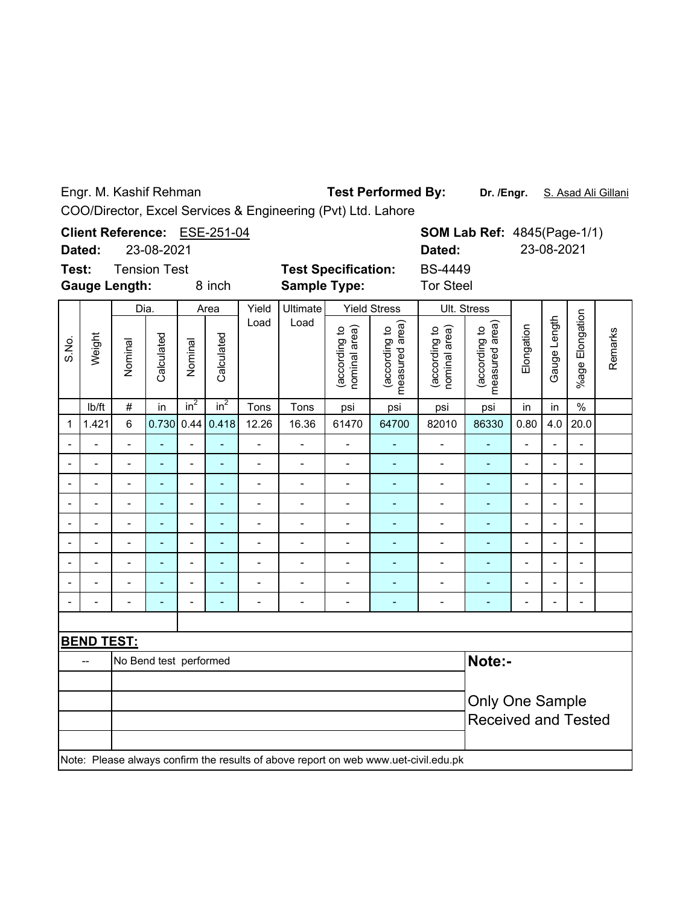Engr. M. Kashif Rehman

Test Performed By: Dr. /Engr. S. Asad Ali Gillani

COO/Director, Excel Services & Engineering (Pvt) Ltd. Lahore

| Client Reference: ESE-251-04                                                        |                   |                          |                |                 |                          |                          |                            |                                |                                 |                                | <b>SOM Lab Ref: 4845(Page-1/1)</b> |                          |                          |                          |         |
|-------------------------------------------------------------------------------------|-------------------|--------------------------|----------------|-----------------|--------------------------|--------------------------|----------------------------|--------------------------------|---------------------------------|--------------------------------|------------------------------------|--------------------------|--------------------------|--------------------------|---------|
| Dated:                                                                              |                   | 23-08-2021               |                |                 |                          |                          |                            |                                |                                 | Dated:                         |                                    | 23-08-2021               |                          |                          |         |
| Test:                                                                               |                   | <b>Tension Test</b>      |                |                 |                          |                          | <b>Test Specification:</b> |                                |                                 | <b>BS-4449</b>                 |                                    |                          |                          |                          |         |
| <b>Gauge Length:</b><br>8 inch                                                      |                   |                          |                |                 |                          |                          | <b>Sample Type:</b>        |                                |                                 | <b>Tor Steel</b>               |                                    |                          |                          |                          |         |
| S.No.                                                                               | Weight            | Dia.                     |                | Area            |                          | Yield                    | Ultimate                   | <b>Yield Stress</b>            |                                 | Ult. Stress                    |                                    |                          |                          |                          |         |
|                                                                                     |                   | Nominal                  | Calculated     | Nominal         | Calculated               | Load                     | Load                       | (according to<br>nominal area) | measured area)<br>(according to | nominal area)<br>(according to | measured area)<br>(according to    | Elongation               | Gauge Length             | %age Elongation          | Remarks |
|                                                                                     | lb/ft             | $\#$                     | in             | in <sup>2</sup> | $in^2$                   | Tons                     | Tons                       | psi                            | psi                             | psi                            | psi                                | in                       | in                       | $\%$                     |         |
| 1                                                                                   | 1.421             | $6\phantom{1}$           | 0.730          | 0.44            | 0.418                    | 12.26                    | 16.36                      | 61470                          | 64700                           | 82010                          | 86330                              | 0.80                     | 4.0                      | 20.0                     |         |
|                                                                                     |                   | $\overline{a}$           |                |                 | ۰                        | $\overline{a}$           | $\overline{\phantom{a}}$   | $\blacksquare$                 | ÷,                              | -                              | ٠                                  | $\overline{\phantom{0}}$ |                          | $\overline{\phantom{m}}$ |         |
|                                                                                     |                   | $\overline{a}$           |                | $\overline{a}$  | ä,                       | $\overline{\phantom{a}}$ | $\frac{1}{2}$              | $\overline{\phantom{0}}$       | $\blacksquare$                  | $\overline{a}$                 | $\overline{\phantom{a}}$           | $\overline{\phantom{0}}$ |                          | $\blacksquare$           |         |
|                                                                                     | L.                | $\overline{a}$           | $\overline{a}$ | $\overline{a}$  | ä,                       | $\overline{\phantom{0}}$ | $\blacksquare$             | $\overline{\phantom{0}}$       | $\blacksquare$                  | $\overline{\phantom{0}}$       | ÷,                                 | $\overline{a}$           | $\overline{a}$           | $\overline{\phantom{a}}$ |         |
|                                                                                     | $\blacksquare$    | $\overline{a}$           | ٠              | $\blacksquare$  | $\blacksquare$           | -                        | $\overline{\phantom{a}}$   | $\blacksquare$                 | ٠                               | -                              | ٠                                  | -                        | ۰                        | $\overline{\phantom{a}}$ |         |
|                                                                                     |                   |                          |                |                 | L,                       | $\overline{\phantom{0}}$ | $\overline{a}$             | $\overline{a}$                 | ä,                              | $\overline{a}$                 | ÷,                                 | $\overline{a}$           |                          | $\overline{a}$           |         |
|                                                                                     |                   | L.                       |                | $\overline{a}$  | $\blacksquare$           | $\overline{a}$           | $\overline{a}$             | $\overline{a}$                 | ÷,                              | $\overline{a}$                 | ÷,                                 | $\overline{a}$           | $\overline{\phantom{0}}$ | $\overline{\phantom{a}}$ |         |
|                                                                                     | L,                | $\overline{\phantom{0}}$ |                | $\blacksquare$  | $\blacksquare$           | -                        | $\frac{1}{2}$              | $\overline{\phantom{0}}$       | ÷,                              | $\overline{\phantom{0}}$       | ÷,                                 | $\overline{a}$           | $\overline{\phantom{0}}$ | $\overline{\phantom{a}}$ |         |
|                                                                                     |                   |                          |                | $\overline{a}$  | ÷,                       | $\overline{a}$           | $\overline{a}$             | $\overline{a}$                 | ÷,                              | $\overline{a}$                 | ٠                                  | $\overline{a}$           |                          | $\overline{\phantom{m}}$ |         |
|                                                                                     |                   | $\overline{a}$           |                | $\overline{a}$  | $\overline{\phantom{a}}$ | -                        | $\overline{\phantom{a}}$   | $\overline{\phantom{0}}$       | ٠                               | $\overline{\phantom{m}}$       | ٠                                  | $\overline{\phantom{0}}$ |                          | $\overline{\phantom{a}}$ |         |
|                                                                                     |                   |                          |                |                 |                          |                          |                            |                                |                                 |                                |                                    |                          |                          |                          |         |
|                                                                                     | <b>BEND TEST:</b> |                          |                |                 |                          |                          |                            |                                |                                 |                                |                                    |                          |                          |                          |         |
|                                                                                     | ÷.                | No Bend test performed   |                |                 |                          |                          |                            |                                |                                 | Note:-                         |                                    |                          |                          |                          |         |
|                                                                                     |                   |                          |                |                 |                          |                          |                            |                                |                                 |                                |                                    |                          |                          |                          |         |
|                                                                                     |                   |                          |                |                 |                          |                          |                            |                                |                                 | <b>Only One Sample</b>         |                                    |                          |                          |                          |         |
|                                                                                     |                   |                          |                |                 |                          |                          |                            |                                |                                 |                                | <b>Received and Tested</b>         |                          |                          |                          |         |
| Note: Please always confirm the results of above report on web www.uet-civil.edu.pk |                   |                          |                |                 |                          |                          |                            |                                |                                 |                                |                                    |                          |                          |                          |         |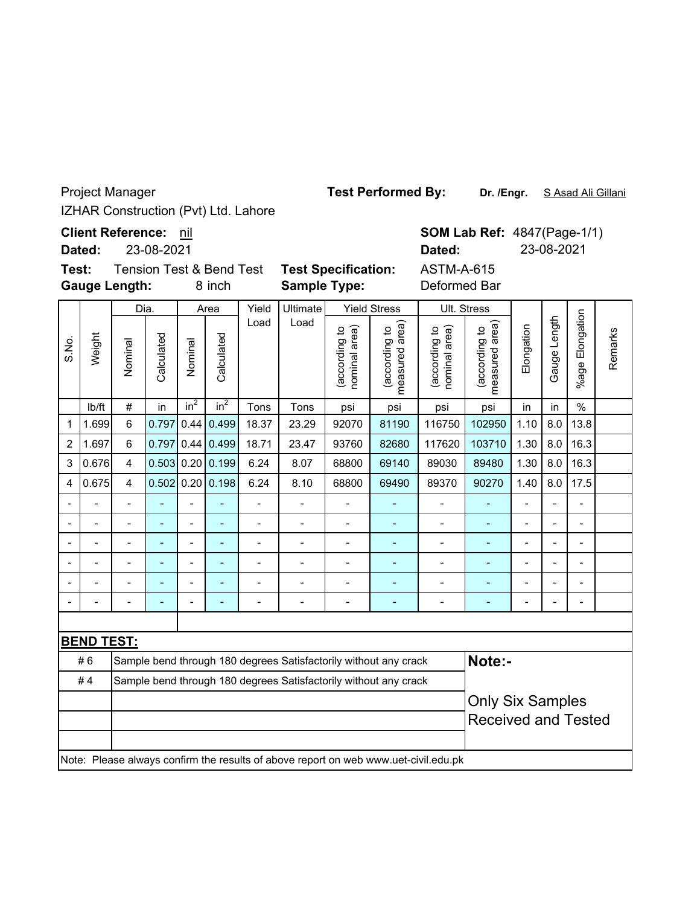IZHAR Construction (Pvt) Ltd. Lahore Project Manager

**Client Reference:** nil

**Dated:** 23-08-2021

Weight

S.No.

**BEND TEST:**

**Gauge Length: Test:**

Tension Test & Bend Test **Test Specification:** ASTM-A-615 8 inch **Sample Type:** Deformed Bar Dia. Area Yield Ultimate Yield Stress Ult. Stress Load Load (according to<br>measured area) (according to<br>measured area) (according to<br>nominal area) measured area) (according to<br>nominal area) measured area) (according to (according to (according to (according to Elongation nominal area) nominal area) Calculated Calculated Calculated Calculated Nominal Nominal

lb/ft  $\mid$  #  $\mid$  in  $\mid$  in $^{2}$   $\mid$  in $^{2}$   $\mid$  Tons  $\mid$  Tons  $\mid$  psi  $\mid$  psi  $\mid$  psi  $\mid$  in  $\mid$  in  $\mid$  % 1 1.699 6 0.797 0.44 0.499 18.37 23.29 92070 81190 116750 102950 1.10 8.0 13.8 2 |1.697| 6 |0.797|0.44|0.499| 18.71 | 23.47 | 93760 | 82680 | 117620 | 103710 | 1.30 | 8.0 | 16.3 3 |0.676| 4 |0.503| 0.20| 0.199| 6.24 | 8.07 | 68800 | 69140 | 89030 | 89480 |1.30 | 8.0|16.3 4 |0.675| 4 |0.502| 0.20| 0.198| 6.24 | 8.10 | 68800 | 69490 | 89370 | 90270 |1.40 | 8.0 | 17.5 -- - - - - - - - - - - - -- -- - - - - - - - - - - - -- -- - - - - - - - - - - - -- -- - - - - - - - - - - - -- -- - - - - - - - - - - - -- -- - - - - - - - - - - - --

#6 Sample bend through 180 degrees Satisfactorily without any crack

#4 Sample bend through 180 degrees Satisfactorily without any crack

Note: Please always confirm the results of above report on web www.uet-civil.edu.pk

|                            | o  |
|----------------------------|----|
|                            | D. |
| <b>Fest Specification:</b> | A. |
| `amnla Tvno                | n. |

**Note:-**

Only Six Samples Received and Tested

**SOM Lab Ref: 4847(Page-1/1)** 

%age Elongation

%age Elongation

Gauge Length

Gauge Length

Remarks

Remarks

**Dated:** 23-08-2021

**Test Performed By:**

**Dr. /Engr.** S Asad Ali Gillani